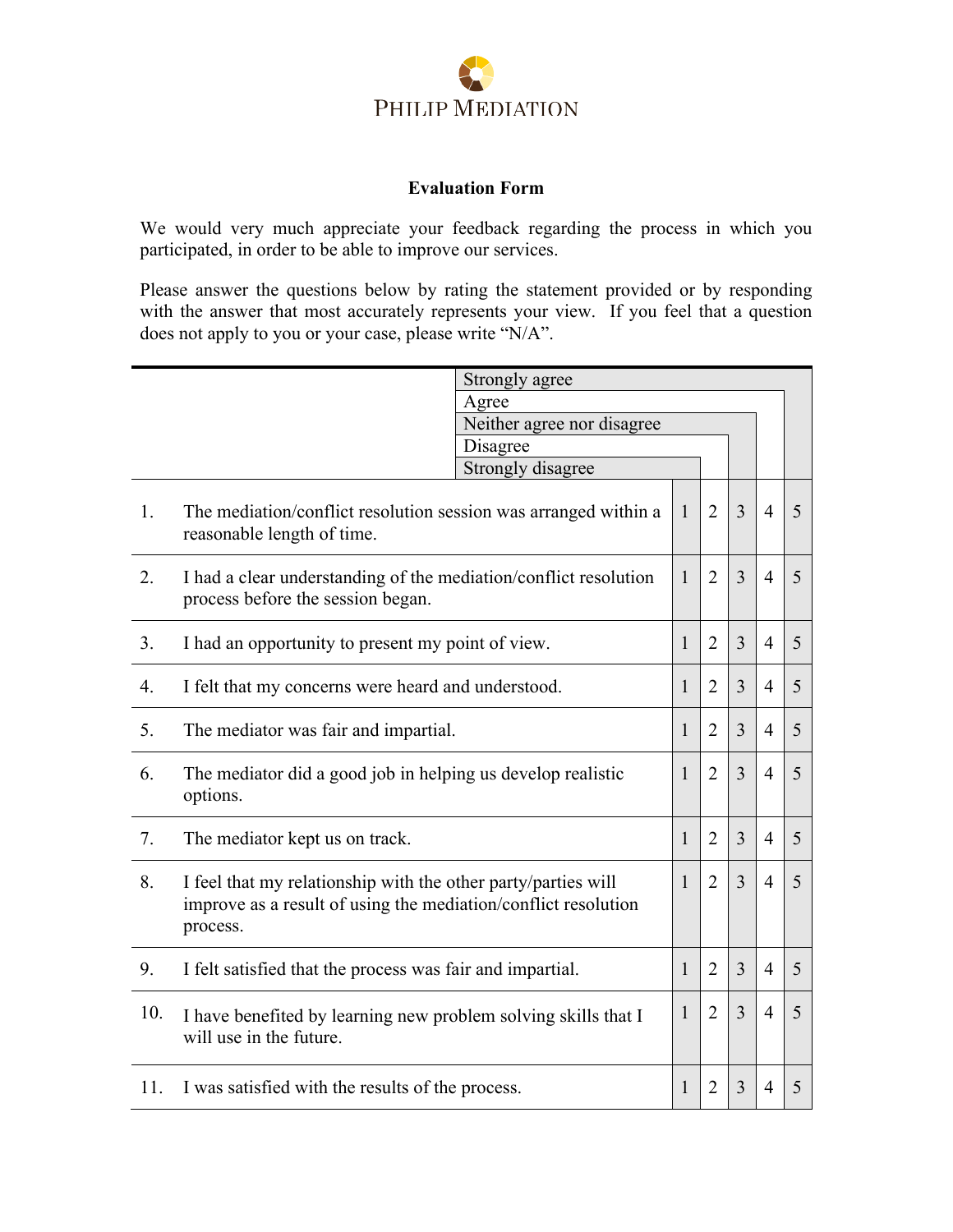

## **Evaluation Form**

We would very much appreciate your feedback regarding the process in which you participated, in order to be able to improve our services.

Please answer the questions below by rating the statement provided or by responding with the answer that most accurately represents your view. If you feel that a question does not apply to you or your case, please write "N/A".

|     | Strongly agree                                                                                                                              |                   |              |                |                |                |   |
|-----|---------------------------------------------------------------------------------------------------------------------------------------------|-------------------|--------------|----------------|----------------|----------------|---|
|     | Agree                                                                                                                                       |                   |              |                |                |                |   |
|     | Neither agree nor disagree                                                                                                                  |                   |              |                |                |                |   |
|     |                                                                                                                                             | Disagree          |              |                |                |                |   |
|     |                                                                                                                                             | Strongly disagree |              |                |                |                |   |
| 1.  | The mediation/conflict resolution session was arranged within a<br>reasonable length of time.                                               |                   | $\mathbf{1}$ | $\overline{2}$ | 3              | $\overline{4}$ | 5 |
| 2.  | I had a clear understanding of the mediation/conflict resolution<br>process before the session began.                                       |                   | 1            | $\overline{2}$ | 3              | $\overline{4}$ | 5 |
| 3.  | I had an opportunity to present my point of view.                                                                                           |                   | $\mathbf{1}$ | $\overline{2}$ | $\overline{3}$ | $\overline{4}$ | 5 |
| 4.  | I felt that my concerns were heard and understood.                                                                                          |                   | $\mathbf{1}$ | $\overline{2}$ | 3              | $\overline{4}$ | 5 |
| 5.  | The mediator was fair and impartial.                                                                                                        |                   | 1            | $\overline{2}$ | 3              | $\overline{4}$ | 5 |
| 6.  | The mediator did a good job in helping us develop realistic<br>options.                                                                     |                   | 1            | $\overline{2}$ | 3              | $\overline{4}$ | 5 |
| 7.  | The mediator kept us on track.                                                                                                              |                   | $\mathbf{1}$ | $\overline{2}$ | 3              | $\overline{4}$ | 5 |
| 8.  | I feel that my relationship with the other party/parties will<br>improve as a result of using the mediation/conflict resolution<br>process. |                   | $\mathbf{1}$ | $\overline{2}$ | $\overline{3}$ | $\overline{4}$ | 5 |
| 9.  | I felt satisfied that the process was fair and impartial.                                                                                   |                   | 1            | $\overline{2}$ | 3              | $\overline{4}$ | 5 |
| 10. | I have benefited by learning new problem solving skills that I<br>will use in the future.                                                   |                   | $\mathbf{1}$ | $\overline{2}$ | 3              | $\overline{4}$ | 5 |
| 11. | I was satisfied with the results of the process.                                                                                            |                   | 1            | $\overline{2}$ | 3              | $\overline{4}$ | 5 |